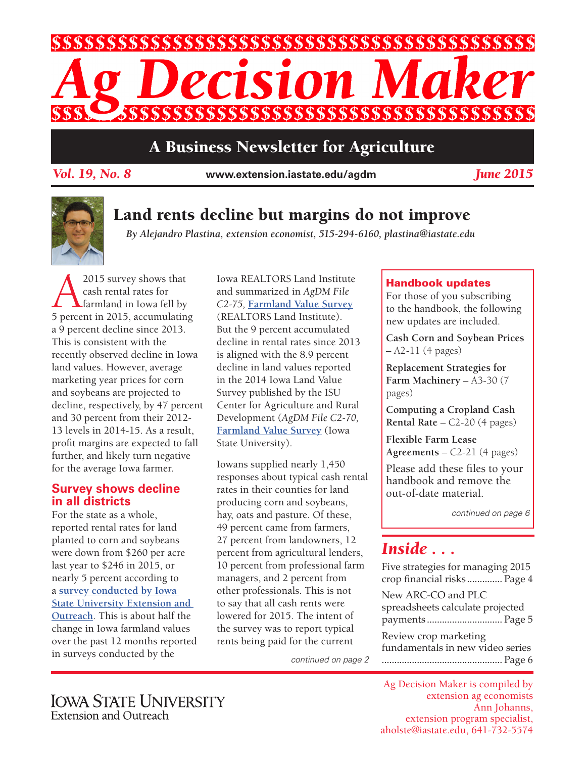

### A Business Newsletter for Agriculture

*Vol. 19, No. 8* **www.extension.iastate.edu/agdm**

*June 2015*



### Land rents decline but margins do not improve

*By Alejandro Plastina, extension economist, 515-294-6160, plastina@iastate.edu*

2015 survey shows that<br>cash rental rates for<br>5 percent in 2015 accumulating cash rental rates for farmland in Iowa fell by 5 percent in 2015, accumulating a 9 percent decline since 2013. This is consistent with the recently observed decline in Iowa land values. However, average marketing year prices for corn and soybeans are projected to decline, respectively, by 47 percent and 30 percent from their 2012- 13 levels in 2014-15. As a result, profit margins are expected to fall further, and likely turn negative for the average Iowa farmer.

### **Survey shows decline in all districts**

For the state as a whole, reported rental rates for land planted to corn and soybeans were down from \$260 per acre last year to \$246 in 2015, or nearly 5 percent according to a **[survey conducted by Iowa](http://www.extension.iastate.edu/agdm/wholefarm/pdf/c2-10.pdf)  [State University Extension and](http://www.extension.iastate.edu/agdm/wholefarm/pdf/c2-10.pdf)  [Outreach](http://www.extension.iastate.edu/agdm/wholefarm/pdf/c2-10.pdf)**. This is about half the change in Iowa farmland values over the past 12 months reported in surveys conducted by the

Iowa REALTORS Land Institute and summarized in *AgDM File C2-75,* **[Farmland Value Survey](http://www.extension.iastate.edu/agdm/wholefarm/pdf/c2-75.pdf)** (REALTORS Land Institute). But the 9 percent accumulated decline in rental rates since 2013 is aligned with the 8.9 percent decline in land values reported in the 2014 Iowa Land Value Survey published by the ISU Center for Agriculture and Rural Development (*AgDM File C2-70,*  **[Farmland Value Survey](http://www.extension.iastate.edu/agdm/wholefarm/pdf/c2-70.pdf)** (Iowa State University).

Iowans supplied nearly 1,450 responses about typical cash rental rates in their counties for land producing corn and soybeans, hay, oats and pasture. Of these, 49 percent came from farmers, 27 percent from landowners, 12 percent from agricultural lenders, 10 percent from professional farm managers, and 2 percent from other professionals. This is not to say that all cash rents were lowered for 2015. The intent of the survey was to report typical rents being paid for the current

### Handbook updates

For those of you subscribing to the handbook, the following new updates are included.

**Cash Corn and Soybean Prices**  – A2-11 (4 pages)

**Replacement Strategies for Farm Machinery** – A3-30 (7 pages)

**Computing a Cropland Cash Rental Rate** – C2-20 (4 pages)

**Flexible Farm Lease Agreements** – C2-21 (4 pages)

Please add these files to your handbook and remove the out-of-date material.

*continued on page 6*

# *Inside . . .*

Five strategies for managing 2015 crop financial risks .............. Page 4 New ARC-CO and PLC spreadsheets calculate projected payments .............................. Page 5 Review crop marketing fundamentals in new video series *continued on page 2* ................................................ Page 6

Ag Decision Maker is compiled by extension ag economists Ann Johanns, extension program specialist, aholste@iastate.edu, 641-732-5574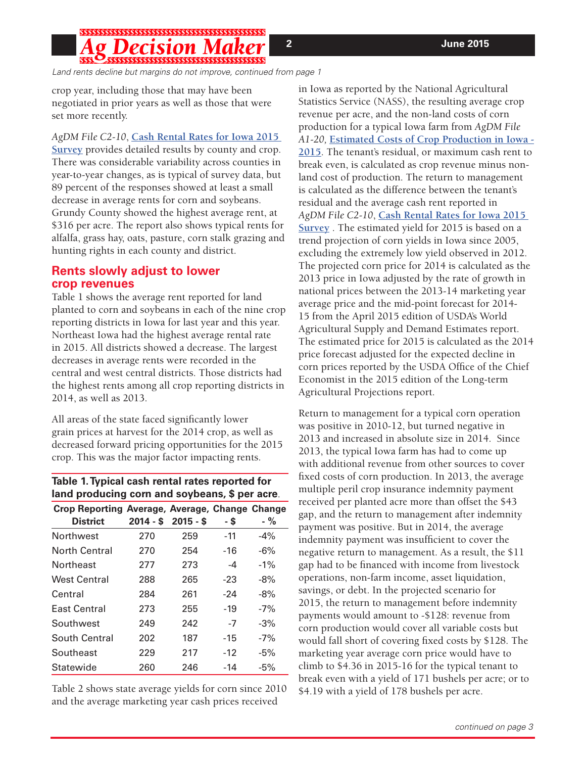## 

*Land rents decline but margins do not improve, continued from page 1*

crop year, including those that may have been negotiated in prior years as well as those that were set more recently.

*AgDM File C2-10*, **[Cash Rental Rates for Iowa 2015](http://www.extension.iastate.edu/agdm/wholefarm/pdf/c2-10.pdf)** 

**[Survey](http://www.extension.iastate.edu/agdm/wholefarm/pdf/c2-10.pdf)** provides detailed results by county and crop. There was considerable variability across counties in year-to-year changes, as is typical of survey data, but 89 percent of the responses showed at least a small decrease in average rents for corn and soybeans. Grundy County showed the highest average rent, at \$316 per acre. The report also shows typical rents for alfalfa, grass hay, oats, pasture, corn stalk grazing and hunting rights in each county and district.

#### **Rents slowly adjust to lower crop revenues**

Table 1 shows the average rent reported for land planted to corn and soybeans in each of the nine crop reporting districts in Iowa for last year and this year. Northeast Iowa had the highest average rental rate in 2015. All districts showed a decrease. The largest decreases in average rents were recorded in the central and west central districts. Those districts had the highest rents among all crop reporting districts in 2014, as well as 2013.

All areas of the state faced significantly lower grain prices at harvest for the 2014 crop, as well as decreased forward pricing opportunities for the 2015 crop. This was the major factor impacting rents.

| Table 1. Typical cash rental rates reported for |  |
|-------------------------------------------------|--|
| land producing corn and soybeans, \$ per acre.  |  |

| Crop Reporting Average, Average, Change Change |     |                      |       |        |
|------------------------------------------------|-----|----------------------|-------|--------|
| <b>District</b>                                |     | $2014 - $$ 2015 - \$ | - \$  | $-$ %  |
| <b>Northwest</b>                               | 270 | 259                  | $-11$ | $-4\%$ |
| North Central                                  | 270 | 254                  | $-16$ | $-6\%$ |
| Northeast                                      | 277 | 273                  | -4    | $-1\%$ |
| <b>West Central</b>                            | 288 | 265                  | $-23$ | $-8%$  |
| Central                                        | 284 | 261                  | $-24$ | $-8%$  |
| East Central                                   | 273 | 255                  | $-19$ | $-7%$  |
| Southwest                                      | 249 | 242                  | $-7$  | $-3%$  |
| South Central                                  | 202 | 187                  | $-15$ | $-7%$  |
| Southeast                                      | 229 | 217                  | $-12$ | $-5%$  |
| Statewide                                      | 260 | 246                  | -14   | $-5%$  |

Table 2 shows state average yields for corn since 2010 and the average marketing year cash prices received

in Iowa as reported by the National Agricultural Statistics Service (NASS), the resulting average crop revenue per acre, and the non-land costs of corn production for a typical Iowa farm from *AgDM File A1-20,* **[Estimated Costs of Crop Production in Iowa -](http://www.extension.iastate.edu/agdm/crops/pdf/a1-20.pdf)  [2015](http://www.extension.iastate.edu/agdm/crops/pdf/a1-20.pdf)**. The tenant's residual, or maximum cash rent to break even, is calculated as crop revenue minus nonland cost of production. The return to management is calculated as the difference between the tenant's residual and the average cash rent reported in *AgDM File C2-10*, **[Cash Rental Rates for Iowa 2015](http://www.extension.iastate.edu/agdm/wholefarm/pdf/c2-10.pdf)  [Survey](http://www.extension.iastate.edu/agdm/wholefarm/pdf/c2-10.pdf)** . The estimated yield for 2015 is based on a trend projection of corn yields in Iowa since 2005, excluding the extremely low yield observed in 2012. The projected corn price for 2014 is calculated as the 2013 price in Iowa adjusted by the rate of growth in national prices between the 2013-14 marketing year average price and the mid-point forecast for 2014- 15 from the April 2015 edition of USDA's World Agricultural Supply and Demand Estimates report. The estimated price for 2015 is calculated as the 2014 price forecast adjusted for the expected decline in corn prices reported by the USDA Office of the Chief Economist in the 2015 edition of the Long-term Agricultural Projections report.

Return to management for a typical corn operation was positive in 2010-12, but turned negative in 2013 and increased in absolute size in 2014. Since 2013, the typical Iowa farm has had to come up with additional revenue from other sources to cover fixed costs of corn production. In 2013, the average multiple peril crop insurance indemnity payment received per planted acre more than offset the \$43 gap, and the return to management after indemnity payment was positive. But in 2014, the average indemnity payment was insufficient to cover the negative return to management. As a result, the \$11 gap had to be financed with income from livestock operations, non-farm income, asset liquidation, savings, or debt. In the projected scenario for 2015, the return to management before indemnity payments would amount to -\$128: revenue from corn production would cover all variable costs but would fall short of covering fixed costs by \$128. The marketing year average corn price would have to climb to \$4.36 in 2015-16 for the typical tenant to break even with a yield of 171 bushels per acre; or to \$4.19 with a yield of 178 bushels per acre.